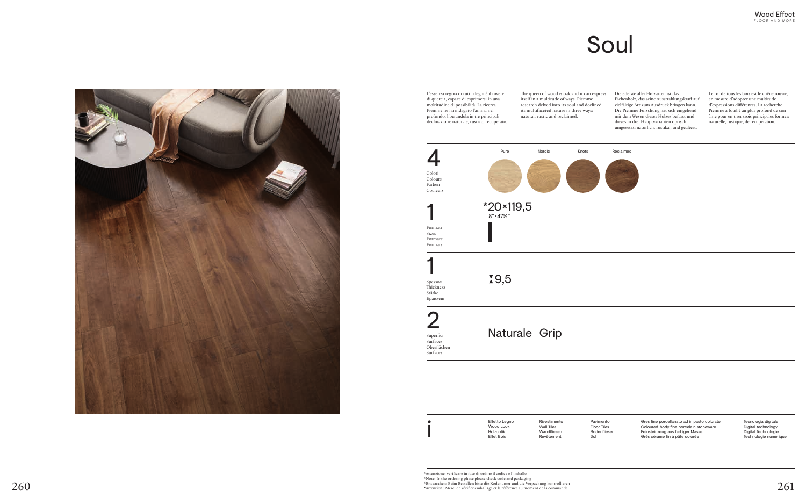The queen of wood is oak and it can express itself in a multitude of ways. Piemme research delved into its soul and declined its multifaceted nature in three ways: natural, rustic and reclaimed.

Die edelste aller Holzarten ist das Eichenholz, das seine Ausstrahlungskraft auf vielfältige Art zum Ausdruck bringen kann. Die Piemme Forschung hat sich eingehend mit dem Wesen dieses Holzes befasst und dieses in drei Hauptvarianten optisch umgesetzt: natürlich, rustikal, und gealtert.



di quercia, capace di esprimersi in una moltitudine di possibilità. La ricerca Piemme ne ha indagato l'anima nel profondo, liberandola in tre principali declinazioni: naturale, rustico, recuperato. Naturale Grip 9,5 2 1 1 Pure Nordic Knots \*20×119,5 8"×47⅛" Superfici Surfaces Oberflächen Surfaces Spessori Thickness Stärke Epaisseur Formati Sizes Formate Formats Colori Colours Farben Couleurs

L'essenza regina di tutti i legni è il rovere

Le roi de tous les bois est le chêne rouvre, en mesure d'adopter une multitude d'expressions différentes. La recherche Piemme a fouillé au plus profond de son âme pour en tirer trois principales formes: naturelle, rustique, de récupération.

# Soul

Tecnologia digitale Digital technology Digital Technologie Technologie numérique

Rivestimento Wall Tiles Wandfliesen Revêtement

Effetto Legno Wood Look Holzoptik Effet Bois

\*Attenzione: verificare in fase di ordine il codice e l'imballo \*Note: In the ordering phase please check code and packaging<br>\*Note: In the ordering phase please check code and packaging<br>\*Bitteacthen: Beim Bestellen bitte die Kodenumer und die Verpackung kontrollieren \*Bitteacthen: Beim Bestellen bitte die Kodenumer und die Verpackung kontrollieren 260 \*Attention : Merci de vérifier emballage et la référence au moment de la commande  $261$ 

Pavimento Floor Tiles Bodenfliesen Sol

i



Gres fine porcellanato ad impasto colorato Coloured-body fine porcelain stoneware Feinsteinzeug aus farbiger Masse Grès cérame fin à pâte colorée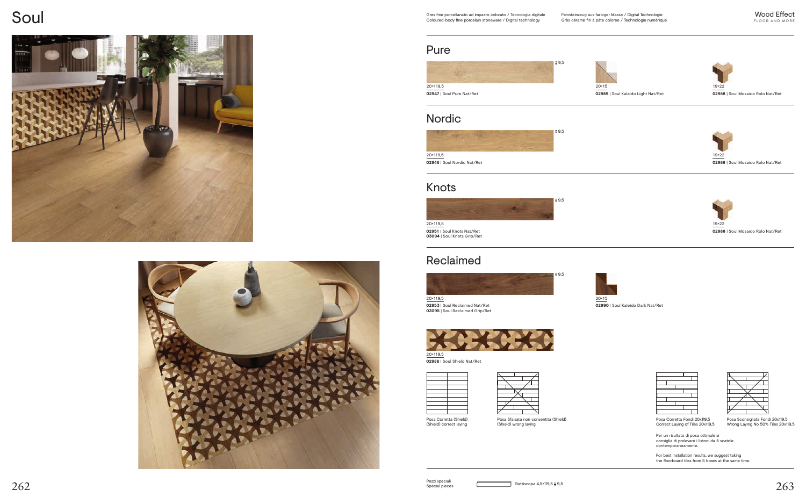Posa Corretta (Shield) (Shield) correct laying Posa Sfalsata non consentita (Shield) (Shield) wrong laying

 $262$  Becial pieces Becial pieces Battiscopa 4,5×119,5 <del>I</del> 9,5 Pezzi speciali

## Soul







Posa Corretta Fondi 20x119,5 Correct Laying of Tiles 20x119,5



Posa Sconsigliata Fondi 20x119,5 Wrong Laying No 50% Tiles 20x119,5

Per un risultato di posa ottimale si consiglia di prelevare i listoni da 5 scatole contemporaneamente.

For best installation results, we suggest taking the floorboard tiles from 5 boxes at the same time.

### Pure









**02986** | Soul Shield Nat/Ret







**02953** | Soul Reclaimed Nat/Ret **03095** | Soul Reclaimed Grip/Ret

20×15 **02990** | Soul Kaleido Dark Nat/Ret